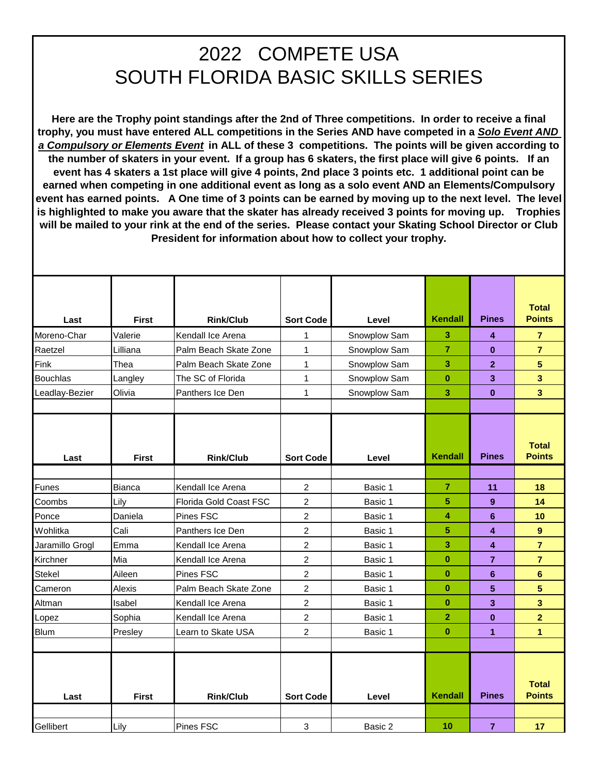## 2022 COMPETE USA SOUTH FLORIDA BASIC SKILLS SERIES

**Here are the Trophy point standings after the 2nd of Three competitions. In order to receive a final trophy, you must have entered ALL competitions in the Series AND have competed in a** *Solo Event AND a Compulsory or Elements Event* **in ALL of these 3 competitions. The points will be given according to the number of skaters in your event. If a group has 6 skaters, the first place will give 6 points. If an event has 4 skaters a 1st place will give 4 points, 2nd place 3 points etc. 1 additional point can be earned when competing in one additional event as long as a solo event AND an Elements/Compulsory event has earned points. A One time of 3 points can be earned by moving up to the next level. The level is highlighted to make you aware that the skater has already received 3 points for moving up. Trophies will be mailed to your rink at the end of the series. Please contact your Skating School Director or Club President for information about how to collect your trophy.** 

| Last<br>Moreno-Char<br>Raetzel<br>Fink<br><b>Bouchlas</b><br>Leadlay-Bezier | <b>First</b><br>Valerie<br>Lilliana<br>Thea<br>Langley<br>Olivia | <b>Rink/Club</b><br>Kendall Ice Arena<br>Palm Beach Skate Zone<br>Palm Beach Skate Zone<br>The SC of Florida<br>Panthers Ice Den | <b>Sort Code</b><br>1<br>1<br>$\mathbf{1}$<br>$\mathbf{1}$<br>1 | Level<br>Snowplow Sam<br>Snowplow Sam<br>Snowplow Sam<br>Snowplow Sam<br>Snowplow Sam | Kendall<br>3<br>$\overline{7}$<br>3<br>$\bf{0}$<br>3 | <b>Pines</b><br>4<br>$\bf{0}$<br>$\overline{2}$<br>$\mathbf{3}$<br>$\bf{0}$ | <b>Total</b><br><b>Points</b><br>$\overline{7}$<br>$\overline{7}$<br>5<br>3<br>3 |
|-----------------------------------------------------------------------------|------------------------------------------------------------------|----------------------------------------------------------------------------------------------------------------------------------|-----------------------------------------------------------------|---------------------------------------------------------------------------------------|------------------------------------------------------|-----------------------------------------------------------------------------|----------------------------------------------------------------------------------|
| Last                                                                        | <b>First</b>                                                     | <b>Rink/Club</b>                                                                                                                 | <b>Sort Code</b>                                                | Level                                                                                 | <b>Kendall</b>                                       | <b>Pines</b>                                                                | <b>Total</b><br><b>Points</b>                                                    |
| Funes                                                                       | Bianca                                                           | Kendall Ice Arena                                                                                                                | 2                                                               | Basic 1                                                                               | $\overline{7}$                                       | 11                                                                          | 18                                                                               |
| Coombs                                                                      | Lily                                                             | Florida Gold Coast FSC                                                                                                           | $\overline{2}$                                                  | Basic 1                                                                               | 5                                                    | 9                                                                           | 14                                                                               |
| Ponce                                                                       | Daniela                                                          | Pines FSC                                                                                                                        | $\overline{2}$                                                  | Basic 1                                                                               | 4                                                    | 6                                                                           | 10                                                                               |
| Wohlitka                                                                    | Cali                                                             | Panthers Ice Den                                                                                                                 | $\overline{c}$                                                  | Basic 1                                                                               | 5                                                    | $\overline{\mathbf{4}}$                                                     | 9                                                                                |
| Jaramillo Grogl                                                             | Emma                                                             | Kendall Ice Arena                                                                                                                | $\overline{c}$                                                  | Basic 1                                                                               | 3                                                    | $\overline{\mathbf{4}}$                                                     | $\overline{7}$                                                                   |
| Kirchner                                                                    | Mia                                                              | Kendall Ice Arena                                                                                                                | 2                                                               | Basic 1                                                                               | $\bf{0}$                                             | $\overline{7}$                                                              | $\overline{7}$                                                                   |
| <b>Stekel</b>                                                               | Aileen                                                           | Pines FSC                                                                                                                        | $\overline{c}$                                                  | Basic 1                                                                               | $\bf{0}$                                             | $6\phantom{1}$                                                              | $6\phantom{1}$                                                                   |
| Cameron                                                                     | Alexis                                                           | Palm Beach Skate Zone                                                                                                            | $\overline{2}$                                                  | Basic 1                                                                               | $\bf{0}$                                             | 5                                                                           | 5                                                                                |
| Altman                                                                      | Isabel                                                           | Kendall Ice Arena                                                                                                                | $\overline{c}$                                                  | Basic 1                                                                               | $\bf{0}$                                             | $\mathbf{3}$                                                                | 3                                                                                |
| Lopez                                                                       | Sophia                                                           | Kendall Ice Arena                                                                                                                | $\overline{2}$                                                  | Basic 1                                                                               | $\overline{2}$                                       | $\bf{0}$                                                                    | $\overline{2}$                                                                   |
| Blum                                                                        | Presley                                                          | Learn to Skate USA                                                                                                               | 2                                                               | Basic 1                                                                               | $\bf{0}$                                             | 1                                                                           | 1                                                                                |
|                                                                             |                                                                  |                                                                                                                                  |                                                                 |                                                                                       |                                                      |                                                                             |                                                                                  |
| Last                                                                        | <b>First</b>                                                     | <b>Rink/Club</b>                                                                                                                 | <b>Sort Code</b>                                                | Level                                                                                 | <b>Kendall</b>                                       | <b>Pines</b>                                                                | <b>Total</b><br><b>Points</b>                                                    |
|                                                                             |                                                                  |                                                                                                                                  |                                                                 |                                                                                       |                                                      |                                                                             |                                                                                  |
| Gellibert                                                                   | Lily                                                             | <b>Pines FSC</b>                                                                                                                 | 3                                                               | Basic 2                                                                               | 10                                                   | $\overline{7}$                                                              | 17                                                                               |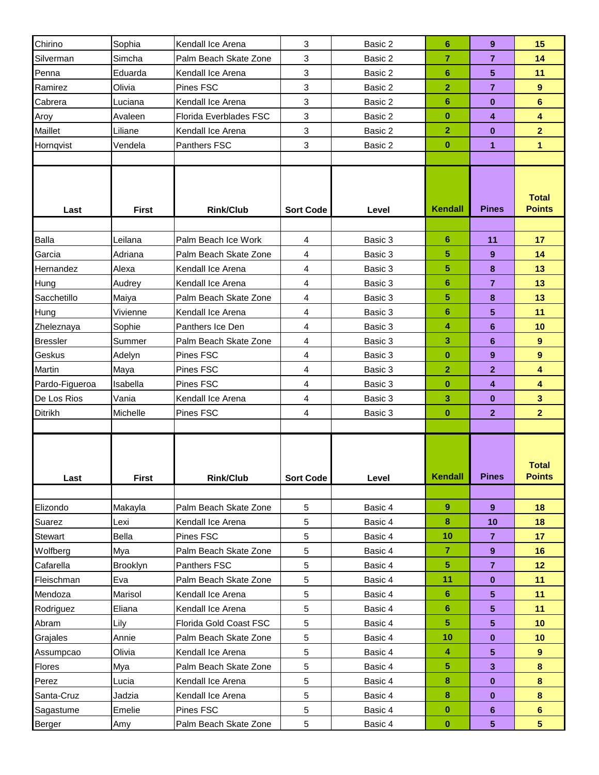| Chirino                 | Sophia             | Kendall Ice Arena                            | $\mathbf{3}$     | Basic 2            | 6                    | 9                   | 15                            |
|-------------------------|--------------------|----------------------------------------------|------------------|--------------------|----------------------|---------------------|-------------------------------|
| Silverman               | Simcha             | Palm Beach Skate Zone                        | $\mathbf{3}$     | Basic 2            | 7                    | $\overline{7}$      | 14                            |
| Penna                   | Eduarda            | Kendall Ice Arena                            | 3                | Basic 2            | 6                    | 5                   | 11                            |
| Ramirez                 | Olivia             | Pines FSC                                    | 3                | Basic 2            | $\overline{2}$       | $\overline{7}$      | $\overline{9}$                |
| Cabrera                 | Luciana            | Kendall Ice Arena                            | 3                | Basic 2            | 6                    | $\bf{0}$            | 6                             |
| Aroy                    | Avaleen            | Florida Everblades FSC                       | 3                | Basic 2            | $\bf{0}$             | 4                   | $\overline{\mathbf{4}}$       |
| Maillet                 | Liliane            | Kendall Ice Arena                            | $\mathbf{3}$     | Basic 2            | $\overline{2}$       | $\bf{0}$            | $\overline{2}$                |
| Hornqvist               | Vendela            | Panthers FSC                                 | 3                | Basic 2            | $\bf{0}$             | 1                   | $\mathbf{1}$                  |
|                         |                    |                                              |                  |                    |                      |                     |                               |
| Last                    | <b>First</b>       | <b>Rink/Club</b>                             | <b>Sort Code</b> | Level              | <b>Kendall</b>       | <b>Pines</b>        | <b>Total</b><br><b>Points</b> |
|                         |                    |                                              |                  |                    |                      |                     |                               |
| Balla                   | Leilana<br>Adriana | Palm Beach Ice Work<br>Palm Beach Skate Zone | $\overline{4}$   | Basic 3            | 6                    | 11                  | 17                            |
| Garcia                  |                    |                                              | 4                | Basic 3            | 5<br>5               | 9                   | 14<br>13                      |
| Hernandez<br>Hung       | Alexa              | Kendall Ice Arena<br>Kendall Ice Arena       | 4<br>4           | Basic 3<br>Basic 3 | 6                    | 8<br>$\overline{7}$ | 13                            |
| Sacchetillo             | Audrey             | Palm Beach Skate Zone                        | 4                | Basic 3            | 5                    | 8                   | 13                            |
| Hung                    | Maiya<br>Vivienne  | Kendall Ice Arena                            | 4                | Basic 3            | 6                    | 5                   | 11                            |
| Zheleznaya              | Sophie             | Panthers Ice Den                             | 4                | Basic 3            | 4                    | 6                   | 10                            |
| <b>Bressler</b>         | Summer             | Palm Beach Skate Zone                        | 4                | Basic 3            | 3                    | 6                   | $\overline{9}$                |
| Geskus                  | Adelyn             | Pines FSC                                    | 4                | Basic 3            | $\bf{0}$             | 9                   | 9                             |
| Martin                  | Maya               | Pines FSC                                    | 4                | Basic 3            | $\overline{2}$       | 2                   | $\overline{\mathbf{4}}$       |
| Pardo-Figueroa          | Isabella           | Pines FSC                                    | 4                | Basic 3            | $\bf{0}$             | 4                   | $\overline{\mathbf{4}}$       |
| De Los Rios             | Vania              | Kendall Ice Arena                            | 4                | Basic 3            | 3                    | $\bf{0}$            | $\overline{\mathbf{3}}$       |
| Ditrikh                 | Michelle           | Pines FSC                                    | 4                | Basic 3            | $\bf{0}$             | $\mathbf{2}$        | $\overline{2}$                |
|                         |                    |                                              |                  |                    |                      |                     |                               |
| Last                    | <b>First</b>       | <b>Rink/Club</b>                             | <b>Sort Code</b> | Level              | Kendall              | <b>Pines</b>        | <b>Total</b><br><b>Points</b> |
|                         |                    |                                              |                  |                    |                      |                     |                               |
| Elizondo                | Makayla            | Palm Beach Skate Zone                        | $\sqrt{5}$       | Basic 4            | 9                    | 9                   | 18                            |
| Suarez                  | Lexi               | Kendall Ice Arena                            | 5                | Basic 4            | 8                    | 10                  | 18                            |
| Stewart                 | Bella              | Pines FSC                                    | 5                | Basic 4            | 10<br>$\overline{7}$ | $\overline{7}$      | 17                            |
| Wolfberg                | Mya<br>Brooklyn    | Palm Beach Skate Zone<br>Panthers FSC        | 5<br>5           | Basic 4            | 5                    | 9<br>$\overline{7}$ | 16<br>12 <sub>2</sub>         |
| Cafarella<br>Fleischman | Eva                | Palm Beach Skate Zone                        | 5                | Basic 4<br>Basic 4 | 11                   | $\bf{0}$            | 11                            |
| Mendoza                 | Marisol            | Kendall Ice Arena                            | $\,$ 5 $\,$      | Basic 4            | 6                    | 5.                  | 11                            |
| Rodriguez               | Eliana             | Kendall Ice Arena                            | 5                | Basic 4            | 6                    | 5                   | 11                            |
| Abram                   | Lily               | Florida Gold Coast FSC                       | 5                | Basic 4            | 5                    | 5                   | 10                            |
| Grajales                | Annie              | Palm Beach Skate Zone                        | 5                | Basic 4            | 10                   | $\bf{0}$            | 10                            |
| Assumpcao               | Olivia             | Kendall Ice Arena                            | $\sqrt{5}$       | Basic 4            | 4                    | 5                   | $9^{\circ}$                   |
| Flores                  | Mya                | Palm Beach Skate Zone                        | 5                | Basic 4            | 5                    | 3                   | 8                             |
| Perez                   | Lucia              | Kendall Ice Arena                            | 5                | Basic 4            | 8                    | $\bf{0}$            | 8                             |
| Santa-Cruz              | Jadzia             | Kendall Ice Arena                            | 5                | Basic 4            | 8                    | $\bf{0}$            | 8                             |
| Sagastume               | Emelie             | Pines FSC                                    | 5                | Basic 4            | $\bf{0}$             | 6                   | $6\phantom{a}$                |
| Berger                  | Amy                | Palm Beach Skate Zone                        | $\,$ 5 $\,$      | Basic 4            | $\bf{0}$             | $\sqrt{5}$          | 5 <sup>1</sup>                |
|                         |                    |                                              |                  |                    |                      |                     |                               |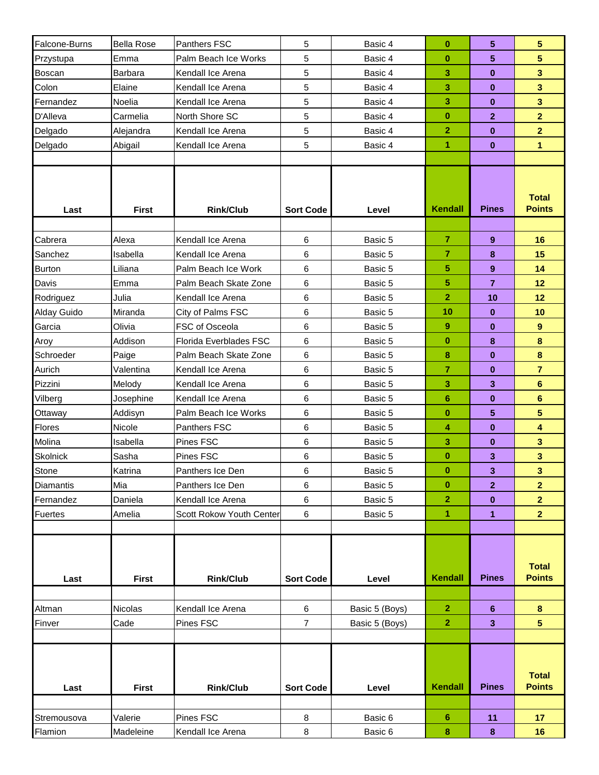| Falcone-Burns  | <b>Bella Rose</b> | Panthers FSC             | 5                | Basic 4        | $\bf{0}$                 | 5                | $5\phantom{.0}$                  |
|----------------|-------------------|--------------------------|------------------|----------------|--------------------------|------------------|----------------------------------|
| Przystupa      | Emma              | Palm Beach Ice Works     | 5                | Basic 4        | $\bf{0}$                 | 5                | 5                                |
| Boscan         | Barbara           | Kendall Ice Arena        | 5                | Basic 4        | 3                        | $\bf{0}$         | $\overline{\mathbf{3}}$          |
| Colon          | Elaine            | Kendall Ice Arena        | 5                | Basic 4        | 3                        | $\bf{0}$         | $\overline{\mathbf{3}}$          |
| Fernandez      | Noelia            | Kendall Ice Arena        | 5                | Basic 4        | 3                        | $\bf{0}$         | $\overline{\mathbf{3}}$          |
| D'Alleva       | Carmelia          | North Shore SC           | 5                | Basic 4        | $\bf{0}$                 | $\mathbf{2}$     | $\overline{2}$                   |
| Delgado        | Alejandra         | Kendall Ice Arena        | 5                | Basic 4        | $\overline{2}$           | $\mathbf{0}$     | $\overline{2}$                   |
| Delgado        | Abigail           | Kendall Ice Arena        | 5                | Basic 4        | 1                        | $\bf{0}$         | 1                                |
|                |                   |                          |                  |                |                          |                  |                                  |
| Last           | <b>First</b>      | <b>Rink/Club</b>         | <b>Sort Code</b> | Level          | <b>Kendall</b>           | <b>Pines</b>     | <b>Total</b><br><b>Points</b>    |
|                |                   |                          |                  |                |                          |                  |                                  |
| Cabrera        | Alexa             | Kendall Ice Arena        | 6                | Basic 5        | $\overline{7}$           | 9                | 16                               |
| Sanchez        | Isabella          | Kendall Ice Arena        | 6                | Basic 5        | $\overline{7}$           | 8                | 15                               |
| <b>Burton</b>  | Liliana           | Palm Beach Ice Work      | 6                | Basic 5        | $\overline{5}$           | $\boldsymbol{9}$ | 14                               |
| Davis          | Emma              | Palm Beach Skate Zone    | 6                | Basic 5        | 5                        | $\overline{7}$   | 12                               |
| Rodriguez      | Julia             | Kendall Ice Arena        | 6                | Basic 5        | $\overline{2}$           | 10               | 12                               |
| Alday Guido    | Miranda           | City of Palms FSC        | 6                | Basic 5        | 10                       | $\bf{0}$         | 10 <sup>1</sup>                  |
| Garcia         | Olivia            | FSC of Osceola           | 6                | Basic 5        | 9                        | $\bf{0}$         | $\overline{9}$                   |
| Aroy           | Addison           | Florida Everblades FSC   | 6                | Basic 5        | $\bf{0}$                 | 8                | 8                                |
| Schroeder      | Paige             | Palm Beach Skate Zone    | 6                | Basic 5        | 8                        | $\bf{0}$         | 8                                |
| Aurich         | Valentina         | Kendall Ice Arena        | 6                | Basic 5        | $\overline{7}$           | $\bf{0}$         | $\overline{7}$                   |
| Pizzini        | Melody            | Kendall Ice Arena        | 6                | Basic 5        | 3                        | 3                | $6\phantom{a}$                   |
| Vilberg        | Josephine         | Kendall Ice Arena        | 6                | Basic 5        | $6\phantom{1}6$          | $\bf{0}$         | $6\phantom{a}$                   |
| Ottaway        | Addisyn           | Palm Beach Ice Works     | 6                | Basic 5        | $\bf{0}$                 | 5                | 5                                |
| Flores         | Nicole            | Panthers FSC             | 6                | Basic 5        | 4                        | $\bf{0}$         | $\overline{\mathbf{4}}$          |
| Molina         | Isabella          | Pines FSC                | 6                | Basic 5        | 3                        | $\bf{0}$         | $\overline{\mathbf{3}}$          |
| Skolnick       | Sasha             | Pines FSC                | 6                | Basic 5        | $\bf{0}$                 | 3                | 3                                |
| <b>Stone</b>   | Katrina           | Panthers Ice Den         | 6                | Basic 5        | $\bf{0}$<br>$\mathbf{0}$ | 3                | 3                                |
| Diamantis      | Mia               | Panthers Ice Den         | 6                | Basic 5        |                          | $\mathbf{2}$     | $\overline{2}$                   |
| Fernandez      | Daniela           | Kendall Ice Arena        | 6                | Basic 5        | $\mathbf{2}$             | $\bf{0}$         | $\overline{2}$<br>2 <sup>1</sup> |
| <b>Fuertes</b> | Amelia            | Scott Rokow Youth Center | 6                | Basic 5        | $\mathbf{1}$             | 1                |                                  |
| Last           | <b>First</b>      | <b>Rink/Club</b>         | <b>Sort Code</b> | Level          | <b>Kendall</b>           | <b>Pines</b>     | <b>Total</b><br><b>Points</b>    |
|                |                   |                          |                  |                |                          |                  |                                  |
| Altman         | Nicolas           | Kendall Ice Arena        | $\,6\,$          | Basic 5 (Boys) | $\overline{2}$           | 6                | 8                                |
| Finver         | Cade              | Pines FSC                | $\overline{7}$   | Basic 5 (Boys) | $\mathbf{2}$             | 3                | 5 <sup>5</sup>                   |
|                |                   |                          |                  |                |                          |                  |                                  |
| Last           | <b>First</b>      | <b>Rink/Club</b>         | <b>Sort Code</b> | Level          | <b>Kendall</b>           | <b>Pines</b>     | <b>Total</b><br><b>Points</b>    |
|                |                   |                          |                  |                |                          |                  |                                  |
| Stremousova    | Valerie           | Pines FSC                | 8                | Basic 6        | 6                        | 11               | 17 <sub>2</sub>                  |
| Flamion        | Madeleine         | Kendall Ice Arena        | $\bf8$           | Basic 6        | 8                        | 8                | 16                               |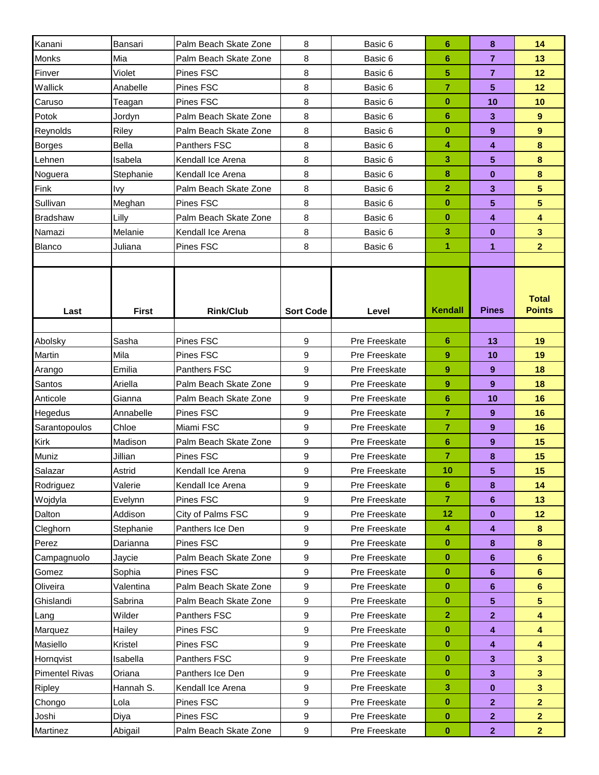| Kanani                | Bansari      | Palm Beach Skate Zone | 8                | Basic 6       | 6              | 8              | 14                            |
|-----------------------|--------------|-----------------------|------------------|---------------|----------------|----------------|-------------------------------|
| Monks                 | Mia          | Palm Beach Skate Zone | 8                | Basic 6       | 6              | $\overline{7}$ | 13                            |
| Finver                | Violet       | Pines FSC             | 8                | Basic 6       | 5              | $\overline{7}$ | 12                            |
| Wallick               | Anabelle     | Pines FSC             | 8                | Basic 6       | $\overline{7}$ | 5              | 12                            |
| Caruso                | Teagan       | Pines FSC             | 8                | Basic 6       | $\bf{0}$       | 10             | 10                            |
| Potok                 | Jordyn       | Palm Beach Skate Zone | 8                | Basic 6       | 6              | 3              | 9                             |
| Reynolds              | Riley        | Palm Beach Skate Zone | 8                | Basic 6       | $\bf{0}$       | 9              | 9                             |
| <b>Borges</b>         | <b>Bella</b> | Panthers FSC          | 8                | Basic 6       | 4              | 4              | 8                             |
| Lehnen                | Isabela      | Kendall Ice Arena     | 8                | Basic 6       | 3              | 5              | 8                             |
| Noguera               | Stephanie    | Kendall Ice Arena     | 8                | Basic 6       | 8              | $\bf{0}$       | 8                             |
| Fink                  | <b>Ivy</b>   | Palm Beach Skate Zone | 8                | Basic 6       | $\overline{2}$ | 3              | 5 <sup>5</sup>                |
| Sullivan              | Meghan       | Pines FSC             | 8                | Basic 6       | $\bf{0}$       | 5              | 5                             |
| <b>Bradshaw</b>       | Lilly        | Palm Beach Skate Zone | 8                | Basic 6       | $\bf{0}$       | 4              | $\overline{\mathbf{4}}$       |
| Namazi                | Melanie      | Kendall Ice Arena     | 8                | Basic 6       | 3              | 0              | 3 <sup>2</sup>                |
| Blanco                | Juliana      | Pines FSC             | 8                | Basic 6       | 1              | 1              | $\overline{2}$                |
|                       |              |                       |                  |               |                |                |                               |
| Last                  | <b>First</b> | <b>Rink/Club</b>      | <b>Sort Code</b> | Level         | Kendall        | <b>Pines</b>   | <b>Total</b><br><b>Points</b> |
|                       |              |                       |                  |               |                |                |                               |
| Abolsky               | Sasha        | Pines FSC             | 9                | Pre Freeskate | 6              | 13             | 19                            |
| Martin                | Mila         | Pines FSC             | 9                | Pre Freeskate | 9              | 10             | 19                            |
| Arango                | Emilia       | Panthers FSC          | 9                | Pre Freeskate | 9              | 9              | 18                            |
| Santos                | Ariella      | Palm Beach Skate Zone | 9                | Pre Freeskate | 9              | 9              | 18                            |
| Anticole              | Gianna       | Palm Beach Skate Zone | 9                | Pre Freeskate | 6              | 10             | 16                            |
| <b>Hegedus</b>        | Annabelle    | Pines FSC             | 9                | Pre Freeskate | 7              | 9              | 16                            |
| Sarantopoulos         | Chloe        | Miami FSC             | 9                | Pre Freeskate | 7              | 9              | 16                            |
| Kirk                  | Madison      | Palm Beach Skate Zone | 9                | Pre Freeskate | 6              | 9              | 15                            |
| Muniz                 | Jillian      | Pines FSC             | 9                | Pre Freeskate | 7              | 8              | 15                            |
| Salazar               | Astrid       | Kendall Ice Arena     | 9                | Pre Freeskate | 10             | 5              | 15                            |
| Rodriguez             | Valerie      | Kendall Ice Arena     | 9                | Pre Freeskate | 6              | 8              | 14                            |
| Wojdyla               | Evelynn      | Pines FSC             | 9                | Pre Freeskate | 7              | 6              | 13                            |
| Dalton                | Addison      | City of Palms FSC     | $\boldsymbol{9}$ | Pre Freeskate | 12             | $\bf{0}$       | 12                            |
| Cleghorn              | Stephanie    | Panthers Ice Den      | 9                | Pre Freeskate | 4              | 4              | 8                             |
| Perez                 | Darianna     | Pines FSC             | 9                | Pre Freeskate | $\bf{0}$       | 8              | 8                             |
| Campagnuolo           | Jaycie       | Palm Beach Skate Zone | 9                | Pre Freeskate | $\bf{0}$       | 6              | $6\phantom{1}$                |
| Gomez                 | Sophia       | Pines FSC             | 9                | Pre Freeskate | $\bf{0}$       | 6              | $6\phantom{1}$                |
| Oliveira              | Valentina    | Palm Beach Skate Zone | 9                | Pre Freeskate | $\bf{0}$       | 6              | 6                             |
| Ghislandi             | Sabrina      | Palm Beach Skate Zone | 9                | Pre Freeskate | $\bf{0}$       | 5              | $5\phantom{.0}$               |
| Lang                  | Wilder       | Panthers FSC          | 9                | Pre Freeskate | $\mathbf{2}$   | $\mathbf{2}$   | $\overline{\mathbf{4}}$       |
| Marquez               | Hailey       | Pines FSC             | 9                | Pre Freeskate | $\bf{0}$       | 4              | $\blacktriangleleft$          |
| Masiello              | Kristel      | Pines FSC             | 9                | Pre Freeskate | $\bf{0}$       | 4              | $\overline{\mathbf{4}}$       |
| Hornqvist             | Isabella     | Panthers FSC          | $\boldsymbol{9}$ | Pre Freeskate | $\bf{0}$       | 3              | $\overline{\mathbf{3}}$       |
| <b>Pimentel Rivas</b> | Oriana       | Panthers Ice Den      | 9                | Pre Freeskate | $\bf{0}$       | 3              | $\mathbf{3}$                  |
| Ripley                | Hannah S.    | Kendall Ice Arena     | $\boldsymbol{9}$ | Pre Freeskate | 3              | $\bf{0}$       | $\overline{\mathbf{3}}$       |
| Chongo                | Lola         | Pines FSC             | $\boldsymbol{9}$ | Pre Freeskate | $\bf{0}$       | $\mathbf{2}$   | $\overline{2}$                |
| Joshi                 | Diya         | Pines FSC             | 9                | Pre Freeskate | $\bf{0}$       | $\mathbf{2}$   | $\overline{2}$                |
| Martinez              | Abigail      | Palm Beach Skate Zone | $\boldsymbol{9}$ | Pre Freeskate | $\bf{0}$       | $\overline{2}$ | $\overline{2}$                |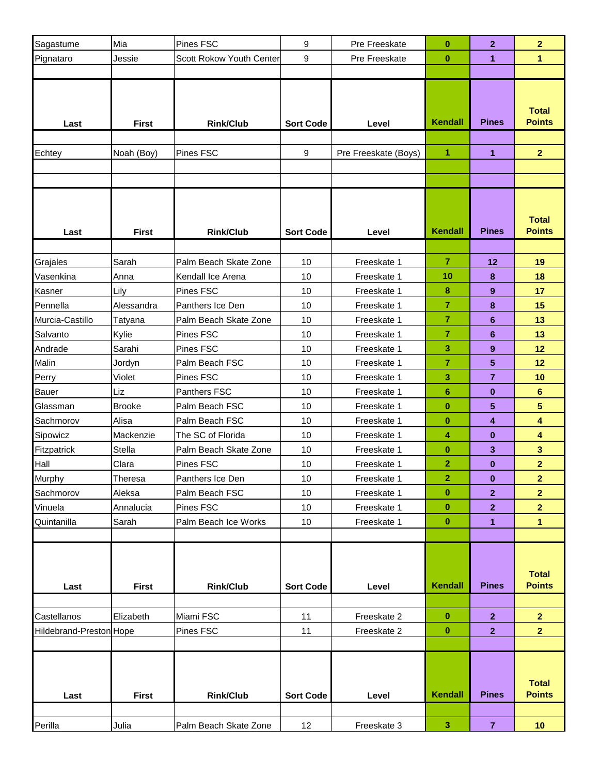| Sagastume               | Mia           | <b>Pines FSC</b>               | 9                | Pre Freeskate              | $\bf{0}$             | $\mathbf{2}$                                                                               | $\mathbf{2}$                  |
|-------------------------|---------------|--------------------------------|------------------|----------------------------|----------------------|--------------------------------------------------------------------------------------------|-------------------------------|
| Pignataro               | Jessie        | Scott Rokow Youth Center       | 9                | Pre Freeskate              | $\bf{0}$             | 1                                                                                          | $\mathbf{1}$                  |
|                         |               |                                |                  |                            |                      |                                                                                            |                               |
| Last                    | <b>First</b>  | <b>Rink/Club</b>               | <b>Sort Code</b> | Level                      | <b>Kendall</b>       | <b>Pines</b>                                                                               | <b>Total</b><br><b>Points</b> |
|                         |               |                                |                  |                            |                      |                                                                                            |                               |
| Echtey                  | Noah (Boy)    | Pines FSC                      | 9                | Pre Freeskate (Boys)       | 1                    | 1                                                                                          | 2 <sup>1</sup>                |
|                         |               |                                |                  |                            |                      |                                                                                            |                               |
|                         |               |                                |                  |                            |                      |                                                                                            |                               |
| Last                    | <b>First</b>  | <b>Rink/Club</b>               | <b>Sort Code</b> | Level                      | <b>Kendall</b>       | <b>Pines</b>                                                                               | <b>Total</b><br><b>Points</b> |
|                         |               |                                |                  |                            |                      |                                                                                            |                               |
| Grajales                | Sarah         | Palm Beach Skate Zone          | 10               | Freeskate 1                | $\overline{7}$<br>10 |                                                                                            | 19<br>18                      |
| Vasenkina<br>Kasner     | Anna<br>Lily  | Kendall Ice Arena<br>Pines FSC | 10<br>10         | Freeskate 1<br>Freeskate 1 | 8                    |                                                                                            | 17                            |
| Pennella                | Alessandra    | Panthers Ice Den               | 10               | Freeskate 1                | 7                    |                                                                                            | 15                            |
| Murcia-Castillo         | Tatyana       | Palm Beach Skate Zone          | 10               | Freeskate 1                | 7                    |                                                                                            | 13                            |
| Salvanto                | Kylie         | Pines FSC                      | 10               | Freeskate 1                | $\overline{7}$       |                                                                                            | 13                            |
| Andrade                 | Sarahi        | Pines FSC                      | 10               | Freeskate 1                | 3                    |                                                                                            | 12                            |
| Malin                   | Jordyn        | Palm Beach FSC                 | 10               | Freeskate 1                | 7                    |                                                                                            | 12                            |
| Perry                   | Violet        | Pines FSC                      | 10               | Freeskate 1                | 3                    | $\overline{7}$                                                                             | 10                            |
| <b>Bauer</b>            | Liz           | Panthers FSC                   | 10               | Freeskate 1                | 6                    | $\bf{0}$                                                                                   | $6\phantom{a}$                |
| Glassman                | <b>Brooke</b> | Palm Beach FSC                 | 10               | Freeskate 1                | $\bf{0}$             | 5                                                                                          | $\overline{\mathbf{5}}$       |
| Sachmorov               | Alisa         | Palm Beach FSC                 | 10               | Freeskate 1                | $\bf{0}$             | 4                                                                                          | 4                             |
| Sipowicz                | Mackenzie     | The SC of Florida              | 10               | Freeskate 1                | 4                    | $\bf{0}$                                                                                   | 4                             |
| Fitzpatrick             | Stella        | Palm Beach Skate Zone          | 10               | Freeskate 1                | $\bf{0}$             | 3                                                                                          | $\mathbf{3}$                  |
| Hall                    | Clara         | <b>Pines FSC</b>               | 10               | Freeskate 1                | $\overline{2}$       | $\bf{0}$                                                                                   | $\overline{2}$                |
| <b>Murphy</b>           | Theresa       | Panthers Ice Den               | 10               | Freeskate 1                | 2                    | 0                                                                                          | 2                             |
| Sachmorov               | Aleksa        | Palm Beach FSC                 | 10               | Freeskate 1                | $\bf{0}$             | $\mathbf{2}$                                                                               | $\overline{2}$                |
| Vinuela                 | Annalucia     | Pines FSC                      | 10               | Freeskate 1                | $\bf{0}$             | $\mathbf{2}$                                                                               | $\overline{2}$                |
| Quintanilla             | Sarah         | Palm Beach Ice Works           | 10               | Freeskate 1                | $\bf{0}$             | 12<br>8<br>9<br>8<br>6<br>6<br>9<br>5<br>1<br><b>Pines</b><br>$\mathbf{2}$<br>$\mathbf{2}$ | 1                             |
|                         |               |                                |                  |                            |                      |                                                                                            |                               |
| Last                    | <b>First</b>  | <b>Rink/Club</b>               | <b>Sort Code</b> | Level                      | Kendall              |                                                                                            | <b>Total</b><br><b>Points</b> |
|                         |               |                                |                  |                            |                      |                                                                                            |                               |
| Castellanos             | Elizabeth     | Miami FSC                      | 11               | Freeskate 2                | $\bf{0}$             |                                                                                            | 2 <sup>1</sup>                |
| Hildebrand-Preston Hope |               | Pines FSC                      | 11               | Freeskate 2                | $\bf{0}$             |                                                                                            | $\overline{2}$                |
|                         |               |                                |                  |                            |                      |                                                                                            |                               |
| Last                    | <b>First</b>  | <b>Rink/Club</b>               | <b>Sort Code</b> | Level                      | <b>Kendall</b>       | <b>Pines</b>                                                                               | <b>Total</b><br><b>Points</b> |
|                         |               |                                |                  |                            |                      |                                                                                            |                               |
| Perilla                 | Julia         | Palm Beach Skate Zone          | 12               | Freeskate 3                | $\mathbf{3}$         | $\overline{7}$                                                                             | 10                            |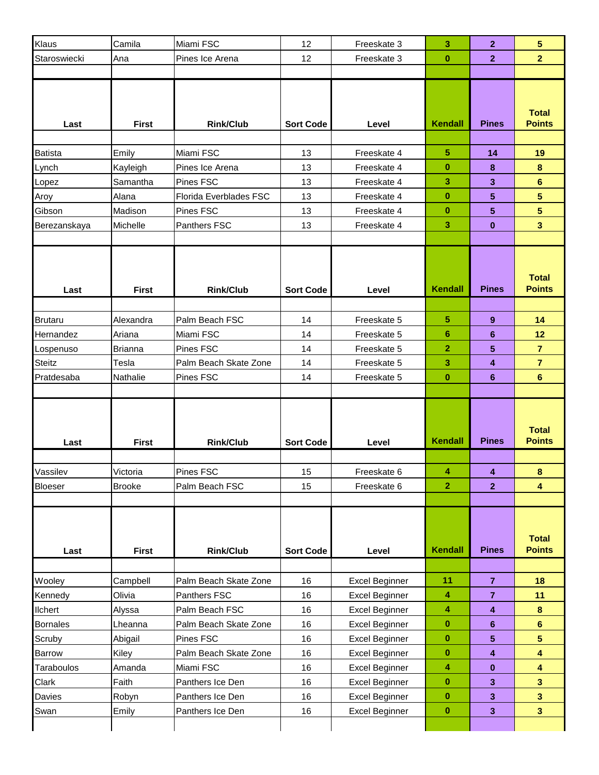| Klaus           | Camila        | Miami FSC              | 12               | Freeskate 3    | 3              | 2              | 5                             |
|-----------------|---------------|------------------------|------------------|----------------|----------------|----------------|-------------------------------|
| Staroswiecki    | Ana           | Pines Ice Arena        | 12               | Freeskate 3    | $\bf{0}$       | $\mathbf{2}$   | $\overline{2}$                |
|                 |               |                        |                  |                |                |                |                               |
| Last            | <b>First</b>  | <b>Rink/Club</b>       | <b>Sort Code</b> | Level          | <b>Kendall</b> | <b>Pines</b>   | <b>Total</b><br><b>Points</b> |
|                 |               |                        |                  |                |                |                |                               |
| <b>Batista</b>  | Emily         | Miami FSC              | 13               | Freeskate 4    | 5              | 14             | 19                            |
| Lynch           | Kayleigh      | Pines Ice Arena        | 13               | Freeskate 4    | $\bf{0}$       | 8              | $\pmb{8}$                     |
| Lopez           | Samantha      | Pines FSC              | 13               | Freeskate 4    | 3              | 3              | 6                             |
| Aroy            | Alana         | Florida Everblades FSC | 13               | Freeskate 4    | $\bf{0}$       | 5              | $\overline{\mathbf{5}}$       |
| Gibson          | Madison       | Pines FSC              | 13               | Freeskate 4    | $\bf{0}$       | 5              | 5                             |
| Berezanskaya    | Michelle      | Panthers FSC           | 13               | Freeskate 4    | 3              | $\bf{0}$       | $\overline{\mathbf{3}}$       |
|                 |               |                        |                  |                |                |                |                               |
| Last            | <b>First</b>  | <b>Rink/Club</b>       | <b>Sort Code</b> | Level          | <b>Kendall</b> | <b>Pines</b>   | <b>Total</b><br><b>Points</b> |
|                 |               |                        |                  |                |                |                |                               |
| <b>Brutaru</b>  | Alexandra     | Palm Beach FSC         | 14               | Freeskate 5    | 5              | 9              | 14                            |
| Hernandez       | Ariana        | Miami FSC              | 14               | Freeskate 5    | 6              | 6              | 12                            |
| Lospenuso       | Brianna       | Pines FSC              | 14               | Freeskate 5    | 2              | 5              | $\overline{7}$                |
| Steitz          | Tesla         | Palm Beach Skate Zone  | 14               | Freeskate 5    | 3              | 4              | $\overline{7}$                |
| Pratdesaba      | Nathalie      | Pines FSC              | 14               | Freeskate 5    | $\bf{0}$       | 6              | $6\phantom{a}$                |
| Last            | <b>First</b>  | <b>Rink/Club</b>       | <b>Sort Code</b> | Level          | <b>Kendall</b> | <b>Pines</b>   | <b>Total</b><br><b>Points</b> |
|                 |               |                        |                  |                |                |                |                               |
| Vassilev        | Victoria      | Pines FSC              | 15               | Freeskate 6    | 4              | 4              | 8                             |
| Bloeser         | <b>Brooke</b> | Palm Beach FSC         | 15               | Freeskate 6    | $\mathbf{2}$   | $\overline{2}$ | $\overline{\mathbf{4}}$       |
|                 |               |                        |                  |                |                |                |                               |
| Last            | <b>First</b>  | <b>Rink/Club</b>       | <b>Sort Code</b> | Level          | <b>Kendall</b> | <b>Pines</b>   | <b>Total</b><br><b>Points</b> |
|                 |               |                        |                  |                |                |                |                               |
| Wooley          | Campbell      | Palm Beach Skate Zone  | 16               | Excel Beginner | 11             | $\overline{7}$ | 18                            |
| Kennedy         | Olivia        | Panthers FSC           | 16               | Excel Beginner | 4              | $\overline{7}$ | 11                            |
| <b>Ilchert</b>  | Alyssa        | Palm Beach FSC         | 16               | Excel Beginner | 4              | 4              | $\bf{8}$                      |
| <b>Bornales</b> | Lheanna       | Palm Beach Skate Zone  | 16               | Excel Beginner | $\bf{0}$       | 6              | $6\phantom{a}$                |
| Scruby          | Abigail       | Pines FSC              | 16               | Excel Beginner | $\bf{0}$       | 5              | $5\phantom{.0}$               |
| Barrow          | Kiley         | Palm Beach Skate Zone  | 16               | Excel Beginner | $\pmb{0}$      | 4              | $\overline{\mathbf{4}}$       |
| Taraboulos      | Amanda        | Miami FSC              | 16               | Excel Beginner | 4              | 0              | $\overline{\mathbf{4}}$       |
| Clark           | Faith         | Panthers Ice Den       | 16               | Excel Beginner | $\bf{0}$       | 3              | $\overline{\mathbf{3}}$       |
| Davies          | Robyn         | Panthers Ice Den       | 16               | Excel Beginner | $\bf{0}$       | $\mathbf{3}$   | $\overline{\mathbf{3}}$       |
| Swan            | Emily         | Panthers Ice Den       | 16               | Excel Beginner | $\bf{0}$       | 3              | 3 <sup>1</sup>                |
|                 |               |                        |                  |                |                |                |                               |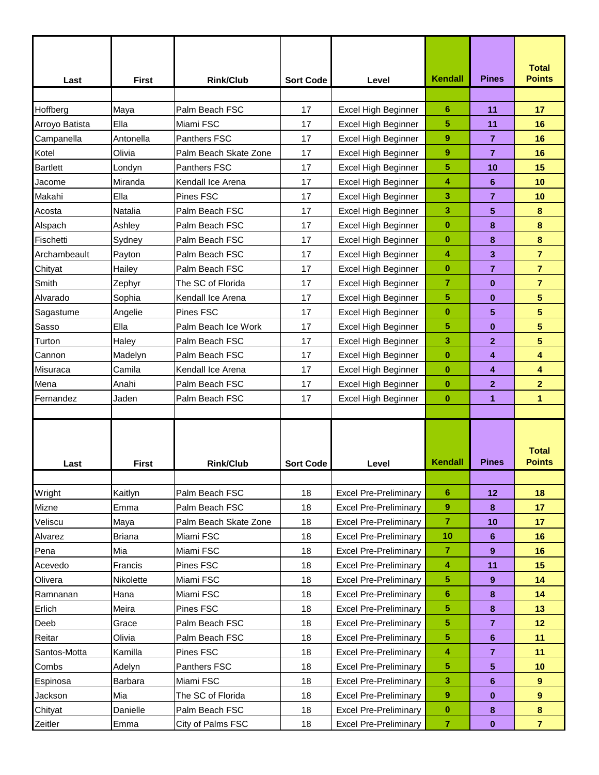| Last                | <b>First</b>      | <b>Rink/Club</b>       | <b>Sort Code</b> | Level                                                        | Kendall          | <b>Pines</b>   | <b>Total</b><br><b>Points</b> |
|---------------------|-------------------|------------------------|------------------|--------------------------------------------------------------|------------------|----------------|-------------------------------|
| Hoffberg            | Maya              | Palm Beach FSC         | 17               | Excel High Beginner                                          | 6                | 11             | 17                            |
| Arroyo Batista      | Ella              | Miami FSC              | 17               | Excel High Beginner                                          | 5                | 11             | 16                            |
| Campanella          | Antonella         | Panthers FSC           | 17               | <b>Excel High Beginner</b>                                   | 9                | $\overline{7}$ | 16                            |
| Kotel               | Olivia            | Palm Beach Skate Zone  | 17               | Excel High Beginner                                          | 9                | $\overline{7}$ | 16                            |
| <b>Bartlett</b>     | Londyn            | Panthers FSC           | 17               | Excel High Beginner                                          | 5                | 10             | 15                            |
| Jacome              | Miranda           | Kendall Ice Arena      | 17               | Excel High Beginner                                          | 4                | 6              | 10                            |
| Makahi              | Ella              | Pines FSC              | 17               | Excel High Beginner                                          | 3                | 7              | 10                            |
| Acosta              | Natalia           | Palm Beach FSC         | 17               | Excel High Beginner                                          | 3                | 5              | 8                             |
| Alspach             | Ashley            | Palm Beach FSC         | 17               | Excel High Beginner                                          | $\bf{0}$         | 8              | 8                             |
| Fischetti           | Sydney            | Palm Beach FSC         | 17               | Excel High Beginner                                          | $\bf{0}$         | 8              | 8                             |
| Archambeault        | Payton            | Palm Beach FSC         | 17               | Excel High Beginner                                          | 4                | 3              | $\overline{7}$                |
| Chityat             | Hailey            | Palm Beach FSC         | 17               | Excel High Beginner                                          | $\bf{0}$         | 7              | $\overline{7}$                |
| Smith               | Zephyr            | The SC of Florida      | 17               | Excel High Beginner                                          | 7                | $\bf{0}$       | $\overline{\mathbf{r}}$       |
| Alvarado            | Sophia            | Kendall Ice Arena      | 17               | Excel High Beginner                                          | 5                | $\bf{0}$       | 5                             |
| Sagastume           | Angelie           | Pines FSC              | 17               | Excel High Beginner                                          | $\bf{0}$         | 5              | 5                             |
| Sasso               | Ella              | Palm Beach Ice Work    | 17               | Excel High Beginner                                          | 5                | $\bf{0}$       | 5                             |
| Turton              | Haley             | Palm Beach FSC         | 17               | Excel High Beginner                                          | 3                | $\overline{2}$ | 5                             |
| Cannon              | Madelyn           | Palm Beach FSC         | 17               | Excel High Beginner                                          | $\bf{0}$         | 4              | 4                             |
| Misuraca            | Camila            | Kendall Ice Arena      | 17               | Excel High Beginner                                          | $\bf{0}$         | 4              | 4                             |
| Mena                | Anahi             | Palm Beach FSC         | 17               | Excel High Beginner                                          | $\bf{0}$         | $\mathbf{2}$   | $\overline{2}$                |
| Fernandez           | Jaden             | Palm Beach FSC         | 17               | Excel High Beginner                                          | $\bf{0}$         | 1              | 1                             |
|                     |                   |                        |                  |                                                              |                  |                |                               |
| Last                | <b>First</b>      | <b>Rink/Club</b>       | <b>Sort Code</b> | Level                                                        | Kendall          | <b>Pines</b>   | Total<br><b>Points</b>        |
|                     |                   |                        |                  |                                                              |                  |                |                               |
| Wright              | Kaitlyn           | Palm Beach FSC         | 18               | <b>Excel Pre-Preliminary</b>                                 | 6                | 12             | 18                            |
| Mizne               | Emma              | Palm Beach FSC         | 18               | <b>Excel Pre-Preliminary</b>                                 | 9                | 8              | 17                            |
| Veliscu             | Maya              | Palm Beach Skate Zone  | 18               | <b>Excel Pre-Preliminary</b>                                 | 7                | 10             | 17                            |
| Alvarez             | <b>Briana</b>     | Miami FSC              | 18               | <b>Excel Pre-Preliminary</b>                                 | 10               | 6              | 16                            |
| Pena                | Mia               | Miami FSC              | 18               | <b>Excel Pre-Preliminary</b>                                 | $\overline{7}$   | 9              | 16                            |
| Acevedo             | Francis           | Pines FSC              | 18<br>18         | <b>Excel Pre-Preliminary</b>                                 | 4                | 11             | 15<br>14                      |
| Olivera<br>Ramnanan | Nikolette<br>Hana | Miami FSC<br>Miami FSC | 18               | <b>Excel Pre-Preliminary</b><br><b>Excel Pre-Preliminary</b> | 5<br>6           | 9              | 14                            |
| Erlich              | Meira             | Pines FSC              | 18               | <b>Excel Pre-Preliminary</b>                                 | 5                | 8<br>8         | 13                            |
| Deeb                | Grace             | Palm Beach FSC         | 18               | <b>Excel Pre-Preliminary</b>                                 | 5                | $\overline{7}$ | 12                            |
| Reitar              | Olivia            | Palm Beach FSC         | 18               | <b>Excel Pre-Preliminary</b>                                 | 5                | 6              | 11                            |
| Santos-Motta        | Kamilla           | Pines FSC              | 18               | <b>Excel Pre-Preliminary</b>                                 | 4                | $\overline{7}$ | 11                            |
| Combs               | Adelyn            | Panthers FSC           | 18               | <b>Excel Pre-Preliminary</b>                                 | 5                | 5              | 10                            |
| Espinosa            | Barbara           | Miami FSC              | 18               | <b>Excel Pre-Preliminary</b>                                 | 3                | 6              | $\overline{9}$                |
| Jackson             | Mia               | The SC of Florida      | 18               | <b>Excel Pre-Preliminary</b>                                 | $\boldsymbol{9}$ | 0              | 9                             |
| Chityat             | Danielle          | Palm Beach FSC         | 18               | <b>Excel Pre-Preliminary</b>                                 | $\bf{0}$         | 8              | $\pmb{8}$                     |
| Zeitler             | Emma              | City of Palms FSC      | 18               | <b>Excel Pre-Preliminary</b>                                 | 7                | $\bf{0}$       | $\overline{7}$                |
|                     |                   |                        |                  |                                                              |                  |                |                               |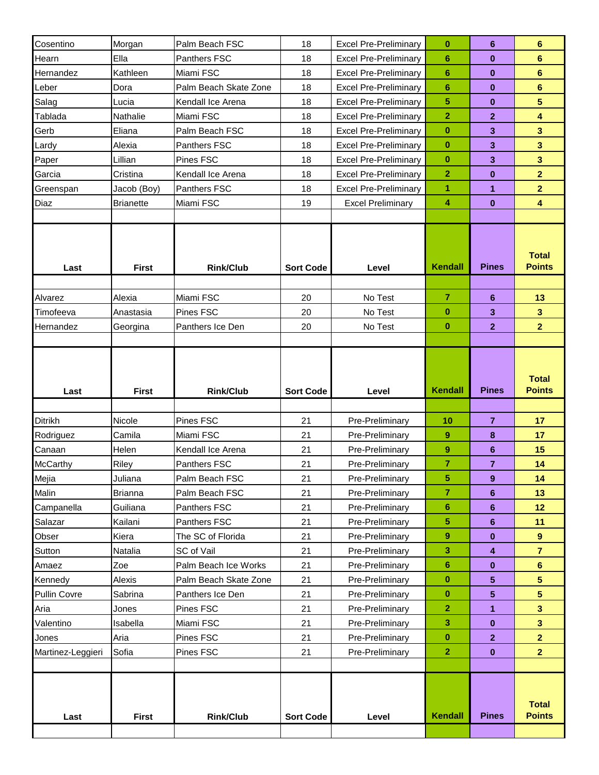| Cosentino         | Morgan           | Palm Beach FSC        | 18               | <b>Excel Pre-Preliminary</b> | $\bf{0}$                | 6              | 6                             |
|-------------------|------------------|-----------------------|------------------|------------------------------|-------------------------|----------------|-------------------------------|
| Hearn             | Ella             | Panthers FSC          | 18               | <b>Excel Pre-Preliminary</b> | $6\phantom{1}6$         | $\bf{0}$       | $6\phantom{1}$                |
| Hernandez         | Kathleen         | Miami FSC             | 18               | <b>Excel Pre-Preliminary</b> | $6\phantom{1}6$         | $\bf{0}$       | $6\phantom{a}$                |
| Leber             | Dora             | Palm Beach Skate Zone | 18               | <b>Excel Pre-Preliminary</b> | 6                       | $\bf{0}$       | 6                             |
| Salag             | Lucia            | Kendall Ice Arena     | 18               | <b>Excel Pre-Preliminary</b> | 5                       | 0              | $\overline{\mathbf{5}}$       |
| Tablada           | Nathalie         | Miami FSC             | 18               | <b>Excel Pre-Preliminary</b> | $\overline{\mathbf{2}}$ | $\mathbf{2}$   | $\overline{\mathbf{4}}$       |
| Gerb              | Eliana           | Palm Beach FSC        | 18               | <b>Excel Pre-Preliminary</b> | $\bf{0}$                | 3              | $\overline{\mathbf{3}}$       |
| Lardy             | Alexia           | <b>Panthers FSC</b>   | 18               | <b>Excel Pre-Preliminary</b> | $\bf{0}$                | 3              | 3                             |
| Paper             | Lillian          | Pines FSC             | 18               | <b>Excel Pre-Preliminary</b> | $\bf{0}$                | 3              | $\overline{\mathbf{3}}$       |
| Garcia            | Cristina         | Kendall Ice Arena     | 18               | <b>Excel Pre-Preliminary</b> | $\overline{2}$          | $\bf{0}$       | $\overline{2}$                |
| Greenspan         | Jacob (Boy)      | Panthers FSC          | 18               | <b>Excel Pre-Preliminary</b> | 1                       | 1              | $\overline{2}$                |
| Diaz              | <b>Brianette</b> | Miami FSC             | 19               | <b>Excel Preliminary</b>     | 4                       | $\bf{0}$       | $\overline{\mathbf{4}}$       |
|                   |                  |                       |                  |                              |                         |                |                               |
| Last              | <b>First</b>     | <b>Rink/Club</b>      | <b>Sort Code</b> | Level                        | <b>Kendall</b>          | <b>Pines</b>   | <b>Total</b><br><b>Points</b> |
|                   |                  |                       |                  |                              |                         |                |                               |
| Alvarez           | Alexia           | Miami FSC             | 20               | No Test                      | $\overline{7}$          | 6              | 13                            |
| Timofeeva         | Anastasia        | Pines FSC             | 20               | No Test                      | $\bf{0}$                | 3              | $\overline{\mathbf{3}}$       |
| Hernandez         | Georgina         | Panthers Ice Den      | 20               | No Test                      | $\bf{0}$                | $\mathbf{2}$   | $\overline{2}$                |
|                   |                  |                       |                  |                              |                         |                |                               |
| Last              | <b>First</b>     | <b>Rink/Club</b>      |                  |                              |                         |                | <b>Total</b>                  |
|                   |                  |                       | <b>Sort Code</b> | Level                        | <b>Kendall</b>          | <b>Pines</b>   | <b>Points</b>                 |
|                   |                  |                       |                  |                              |                         |                |                               |
| Ditrikh           | Nicole           | Pines FSC             | 21               | Pre-Preliminary              | 10                      | $\overline{7}$ | 17                            |
| Rodriguez         | Camila           | Miami FSC             | 21               | Pre-Preliminary              | $\boldsymbol{9}$        | 8              | 17                            |
| Canaan            | Helen            | Kendall Ice Arena     | 21               | Pre-Preliminary              | 9                       | 6              | 15                            |
| <b>McCarthy</b>   | Riley            | Panthers FSC          | 21               | Pre-Preliminary              | 7                       | $\overline{7}$ | 14                            |
| Mejia             | Juliana          | Palm Beach FSC        | 21               | Pre-Preliminary              | 5                       | 9              | 14                            |
| Malin             | <b>Brianna</b>   | Palm Beach FSC        | 21               | Pre-Preliminary              | $\overline{7}$          | 6              | 13                            |
| Campanella        | Guiliana         | Panthers FSC          | 21               | Pre-Preliminary              | 6                       | 6              | 12                            |
| Salazar           | Kailani          | Panthers FSC          | 21               | Pre-Preliminary              | 5                       | 6              | 11                            |
| Obser             | Kiera            | The SC of Florida     | 21               | Pre-Preliminary              | 9                       | 0              | 9                             |
| Sutton            | Natalia          | SC of Vail            | 21               | Pre-Preliminary              | 3                       | 4              | $\overline{7}$                |
| Amaez             | Zoe              | Palm Beach Ice Works  | 21               | Pre-Preliminary              | 6                       | 0              | $6\phantom{1}$                |
| Kennedy           | Alexis           | Palm Beach Skate Zone | 21               | Pre-Preliminary              | $\bf{0}$                | 5              | $5\phantom{.0}$               |
| Pullin Covre      | Sabrina          | Panthers Ice Den      | 21               | Pre-Preliminary              | $\pmb{0}$               | 5              | $\overline{\mathbf{5}}$       |
| Aria              | Jones            | Pines FSC             | 21               | Pre-Preliminary              | $\overline{2}$          | 1              | $\overline{\mathbf{3}}$       |
| Valentino         | Isabella         | Miami FSC             | 21               | Pre-Preliminary              | 3                       | $\bf{0}$       | $\mathbf{3}$                  |
| Jones             | Aria             | Pines FSC             | 21               | Pre-Preliminary              | $\bf{0}$                | $\mathbf{2}$   | $\overline{2}$                |
| Martinez-Leggieri | Sofia            | Pines FSC             | 21               | Pre-Preliminary              | $\overline{2}$          | 0              | 2 <sup>1</sup>                |
|                   |                  |                       |                  |                              |                         |                |                               |
| Last              | <b>First</b>     | <b>Rink/Club</b>      | <b>Sort Code</b> | Level                        | <b>Kendall</b>          | <b>Pines</b>   | <b>Total</b><br><b>Points</b> |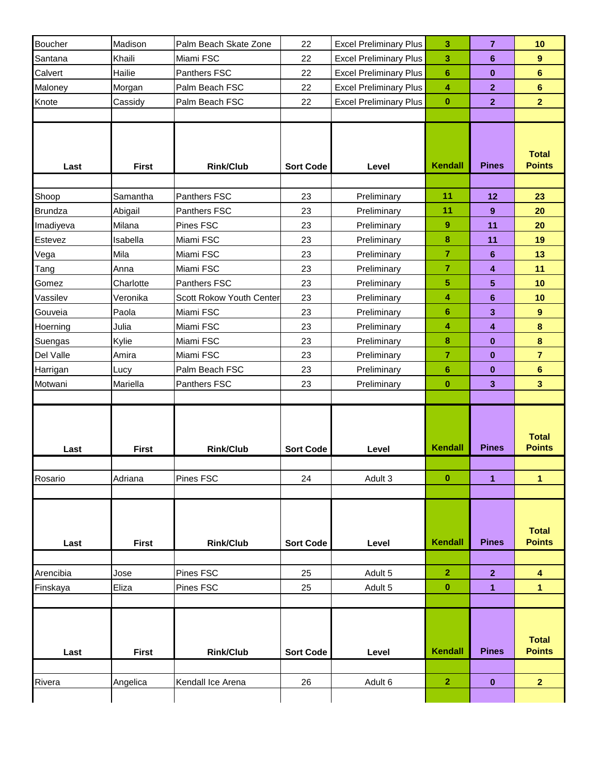| Boucher        | Madison      | Palm Beach Skate Zone    | 22               | <b>Excel Preliminary Plus</b> | 3               | $\overline{7}$          | 10                            |
|----------------|--------------|--------------------------|------------------|-------------------------------|-----------------|-------------------------|-------------------------------|
| Santana        | Khaili       | Miami FSC                | 22               | <b>Excel Preliminary Plus</b> | 3               | 6                       | $\boldsymbol{9}$              |
| Calvert        | Hailie       | Panthers FSC             | 22               | <b>Excel Preliminary Plus</b> | $6\phantom{1}6$ | $\bf{0}$                | $\bf 6$                       |
| Maloney        | Morgan       | Palm Beach FSC           | 22               | <b>Excel Preliminary Plus</b> | 4               | $\overline{2}$          | $6\phantom{a}$                |
| Knote          | Cassidy      | Palm Beach FSC           | 22               | <b>Excel Preliminary Plus</b> | $\bf{0}$        | $\overline{2}$          | $\overline{2}$                |
|                |              |                          |                  |                               |                 |                         |                               |
| Last           | <b>First</b> | <b>Rink/Club</b>         | <b>Sort Code</b> | Level                         | Kendall         | <b>Pines</b>            | <b>Total</b><br><b>Points</b> |
|                |              |                          |                  |                               |                 |                         |                               |
| Shoop          | Samantha     | Panthers FSC             | 23               | Preliminary                   | 11              | 12                      | 23                            |
| <b>Brundza</b> | Abigail      | Panthers FSC             | 23               | Preliminary                   | 11              | 9                       | 20                            |
| Imadiyeva      | Milana       | Pines FSC                | 23               | Preliminary                   | 9               | 11                      | 20                            |
| Estevez        | Isabella     | Miami FSC                | 23               | Preliminary                   | 8               | 11                      | 19                            |
| Vega           | Mila         | Miami FSC                | 23               | Preliminary                   | 7               | 6                       | 13                            |
| Tang           | Anna         | Miami FSC                | 23               | Preliminary                   | $\overline{7}$  | $\overline{\mathbf{4}}$ | 11                            |
| Gomez          | Charlotte    | Panthers FSC             | 23               | Preliminary                   | 5               | $5\phantom{.0}$         | 10                            |
| Vassilev       | Veronika     | Scott Rokow Youth Center | 23               | Preliminary                   | 4               | $6\phantom{1}$          | 10                            |
| Gouveia        | Paola        | Miami FSC                | 23               | Preliminary                   | $6\phantom{1}6$ | 3                       | 9                             |
| Hoerning       | Julia        | Miami FSC                | 23               | Preliminary                   | 4               | $\overline{\mathbf{4}}$ | $\bf{8}$                      |
| Suengas        | Kylie        | Miami FSC                | 23               | Preliminary                   | 8               | $\mathbf{0}$            | $\pmb{8}$                     |
| Del Valle      | Amira        | Miami FSC                | 23               | Preliminary                   | $\overline{7}$  | $\mathbf{0}$            | $\overline{7}$                |
| Harrigan       | Lucy         | Palm Beach FSC           | 23               | Preliminary                   | $6\phantom{1}6$ | $\bf{0}$                | $\bf 6$                       |
| Motwani        | Mariella     | Panthers FSC             | 23               | Preliminary                   | $\bf{0}$        | $\mathbf{3}$            | $\overline{\mathbf{3}}$       |
|                |              |                          |                  |                               |                 |                         |                               |
| Last           | <b>First</b> | <b>Rink/Club</b>         | <b>Sort Code</b> | Level                         | Kendall         | <b>Pines</b>            | <b>Total</b><br><b>Points</b> |
|                |              |                          |                  |                               |                 |                         |                               |
| Rosario        | Adriana      | Pines FSC                | 24               | Adult 3                       | 0               | 1                       | 1                             |
|                |              |                          |                  |                               |                 |                         |                               |
| Last           | <b>First</b> | <b>Rink/Club</b>         | <b>Sort Code</b> | Level                         | Kendall         | <b>Pines</b>            | <b>Total</b><br><b>Points</b> |
|                |              |                          |                  |                               |                 |                         |                               |
| Arencibia      | Jose         | Pines FSC                | 25               | Adult 5                       | $\mathbf{2}$    | 2 <sub>2</sub>          | 4                             |
| Finskaya       | Eliza        | Pines FSC                | 25               | Adult 5                       | $\bf{0}$        | 1                       | 1                             |
|                |              |                          |                  |                               |                 |                         |                               |
| Last           | <b>First</b> | <b>Rink/Club</b>         | <b>Sort Code</b> | Level                         | <b>Kendall</b>  | <b>Pines</b>            | <b>Total</b><br><b>Points</b> |
| Rivera         | Angelica     | Kendall Ice Arena        | 26               | Adult 6                       | $\overline{2}$  | $\mathbf 0$             | $\overline{2}$                |
|                |              |                          |                  |                               |                 |                         |                               |
|                |              |                          |                  |                               |                 |                         |                               |